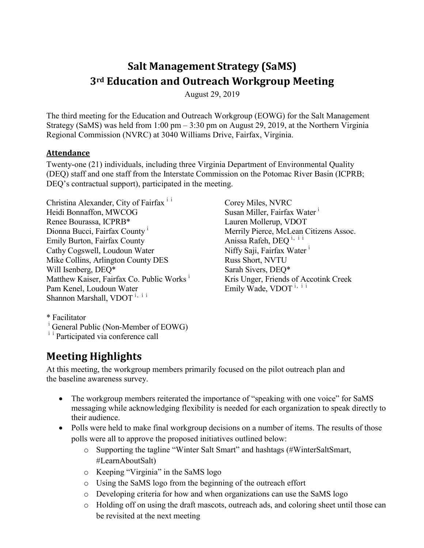# **Salt Management Strategy (SaMS) 3rd Education and Outreach Workgroup Meeting**

August 29, 2019

The third meeting for the Education and Outreach Workgroup (EOWG) for the Salt Management Strategy (SaMS) was held from 1:00 pm – 3:30 pm on August 29, 2019, at the Northern Virginia Regional Commission (NVRC) at 3040 Williams Drive, Fairfax, Virginia.

#### **Attendance**

Twenty-one (21) individuals, including three Virginia Department of Environmental Quality (DEQ) staff and one staff from the Interstate Commission on the Potomac River Basin (ICPRB; DEQ's contractual support), participated in the meeting.

Christina Alexander, City of Fairfax<sup>ii</sup> Heidi Bonnaffon, MWCOG Renee Bourassa, ICPRB\* Dionna Bucci, Fairfax County<sup>1</sup> Emily Burton, Fairfax County Cathy Cogswell, Loudoun Water Mike Collins, Arlington County DES Will Isenberg, DEQ\* Matthew Kaiser, Fairfax Co. Public Works<sup>i</sup> Pam Kenel, Loudoun Water Shannon Marshall, VDOT<sup>i, i i</sup>

Corey Miles, NVRC Susan Miller, Fairfax Water<sup>i</sup> Lauren Mollerup, VDOT Merrily Pierce, McLean Citizens Assoc. Anissa Rafeh, DEQ<sup>ⅰ</sup>, ⅰⅰ Niffy Saji, Fairfax Water<sup>i</sup> Russ Short, NVTU Sarah Sivers, DEQ\* Kris Unger, Friends of Accotink Creek Emily Wade, VDOT<sup>i, ii</sup>

\* Facilitator

## **Meeting Highlights**

At this meeting, the workgroup members primarily focused on the pilot outreach plan and the baseline awareness survey.

- The workgroup members reiterated the importance of "speaking with one voice" for SaMS messaging while acknowledging flexibility is needed for each organization to speak directly to their audience.
- Polls were held to make final workgroup decisions on a number of items. The results of those polls were all to approve the proposed initiatives outlined below:
	- o Supporting the tagline "Winter Salt Smart" and hashtags (#WinterSaltSmart, #LearnAboutSalt)
	- o Keeping "Virginia" in the SaMS logo
	- o Using the SaMS logo from the beginning of the outreach effort
	- o Developing criteria for how and when organizations can use the SaMS logo
	- o Holding off on using the draft mascots, outreach ads, and coloring sheet until those can be revisited at the next meeting

 $\frac{1}{1}$  General Public (Non-Member of EOWG)  $\frac{1}{1}$  Participated via conference call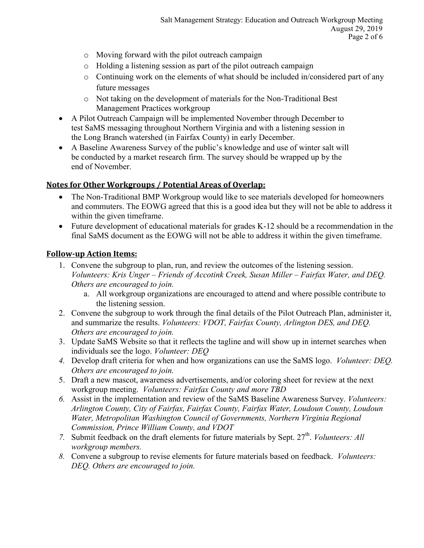- o Moving forward with the pilot outreach campaign
- o Holding a listening session as part of the pilot outreach campaign
- o Continuing work on the elements of what should be included in/considered part of any future messages
- o Not taking on the development of materials for the Non-Traditional Best Management Practices workgroup
- A Pilot Outreach Campaign will be implemented November through December to test SaMS messaging throughout Northern Virginia and with a listening session in the Long Branch watershed (in Fairfax County) in early December.
- A Baseline Awareness Survey of the public's knowledge and use of winter salt will be conducted by a market research firm. The survey should be wrapped up by the end of November.

#### **Notes for Other Workgroups / Potential Areas of Overlap:**

- The Non-Traditional BMP Workgroup would like to see materials developed for homeowners and commuters. The EOWG agreed that this is a good idea but they will not be able to address it within the given timeframe.
- Future development of educational materials for grades K-12 should be a recommendation in the final SaMS document as the EOWG will not be able to address it within the given timeframe.

#### **Follow-up Action Items:**

- 1. Convene the subgroup to plan, run, and review the outcomes of the listening session. *Volunteers: Kris Unger – Friends of Accotink Creek, Susan Miller – Fairfax Water, and DEQ. Others are encouraged to join.*
	- a. All workgroup organizations are encouraged to attend and where possible contribute to the listening session.
- 2. Convene the subgroup to work through the final details of the Pilot Outreach Plan, administer it, and summarize the results. *Volunteers: VDOT, Fairfax County, Arlington DES, and DEQ. Others are encouraged to join.*
- 3. Update SaMS Website so that it reflects the tagline and will show up in internet searches when individuals see the logo. *Volunteer: DEQ*
- *4.* Develop draft criteria for when and how organizations can use the SaMS logo. *Volunteer: DEQ. Others are encouraged to join.*
- 5. Draft a new mascot, awareness advertisements, and/or coloring sheet for review at the next workgroup meeting. *Volunteers: Fairfax County and more TBD*
- *6.* Assist in the implementation and review of the SaMS Baseline Awareness Survey. *Volunteers: Arlington County, City of Fairfax, Fairfax County, Fairfax Water, Loudoun County, Loudoun Water, Metropolitan Washington Council of Governments, Northern Virginia Regional Commission, Prince William County, and VDOT*
- *7.* Submit feedback on the draft elements for future materials by Sept. 27<sup>th</sup>. *Volunteers: All workgroup members.*
- *8.* Convene a subgroup to revise elements for future materials based on feedback. *Volunteers: DEQ. Others are encouraged to join.*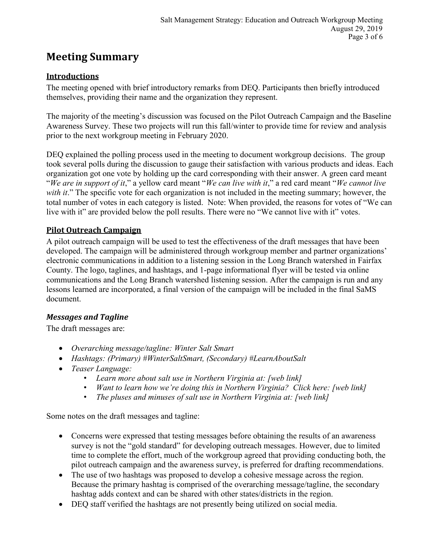## **Meeting Summary**

### **Introductions**

The meeting opened with brief introductory remarks from DEQ. Participants then briefly introduced themselves, providing their name and the organization they represent.

The majority of the meeting's discussion was focused on the Pilot Outreach Campaign and the Baseline Awareness Survey. These two projects will run this fall/winter to provide time for review and analysis prior to the next workgroup meeting in February 2020.

DEQ explained the polling process used in the meeting to document workgroup decisions. The group took several polls during the discussion to gauge their satisfaction with various products and ideas. Each organization got one vote by holding up the card corresponding with their answer. A green card meant "*We are in support of it*," a yellow card meant "*We can live with it*," a red card meant "*We cannot live* with it." The specific vote for each organization is not included in the meeting summary; however, the total number of votes in each category is listed. Note: When provided, the reasons for votes of "We can live with it" are provided below the poll results. There were no "We cannot live with it" votes.

### **Pilot Outreach Campaign**

A pilot outreach campaign will be used to test the effectiveness of the draft messages that have been developed. The campaign will be administered through workgroup member and partner organizations' electronic communications in addition to a listening session in the Long Branch watershed in Fairfax County. The logo, taglines, and hashtags, and 1-page informational flyer will be tested via online communications and the Long Branch watershed listening session. After the campaign is run and any lessons learned are incorporated, a final version of the campaign will be included in the final SaMS document.

#### *Messages and Tagline*

The draft messages are:

- *Overarching message/tagline: Winter Salt Smart*
- *Hashtags: (Primary) #WinterSaltSmart, (Secondary) #LearnAboutSalt*
- *Teaser Language:*
	- *Learn more about salt use in Northern Virginia at: [web link]*
	- *Want to learn how we're doing this in Northern Virginia? Click here: [web link]*
	- *The pluses and minuses of salt use in Northern Virginia at: [web link]*

Some notes on the draft messages and tagline:

- Concerns were expressed that testing messages before obtaining the results of an awareness survey is not the "gold standard" for developing outreach messages. However, due to limited time to complete the effort, much of the workgroup agreed that providing conducting both, the pilot outreach campaign and the awareness survey, is preferred for drafting recommendations.
- The use of two hashtags was proposed to develop a cohesive message across the region. Because the primary hashtag is comprised of the overarching message/tagline, the secondary hashtag adds context and can be shared with other states/districts in the region.
- DEQ staff verified the hashtags are not presently being utilized on social media.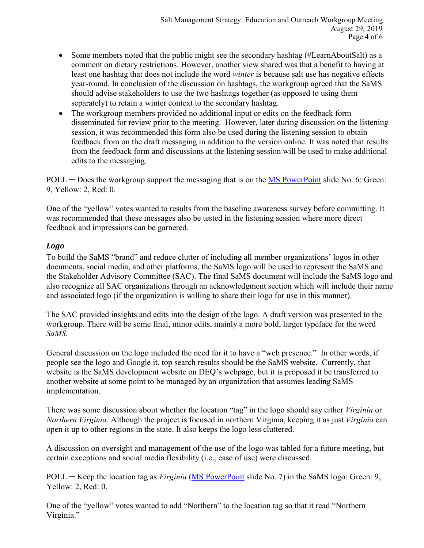- Some members noted that the public might see the secondary hashtag (#LearnAboutSalt) as a comment on dietary restrictions. However, another view shared was that a benefit to having at least one hashtag that does not include the word *winter* is because salt use has negative effects year-round. In conclusion of the discussion on hashtags, the workgroup agreed that the SaMS should advise stakeholders to use the two hashtags together (as opposed to using them separately) to retain a winter context to the secondary hashtag.
- The workgroup members provided no additional input or edits on the feedback form disseminated for review prior to the meeting. However, later during discussion on the listening session, it was recommended this form also be used during the listening session to obtain feedback from on the draft messaging in addition to the version online. It was noted that results from the feedback form and discussions at the listening session will be used to make additional edits to the messaging.

POLL — Does the workgroup support the messaging that is on the MS [PowerPoint](https://www.deq.virginia.gov/Portals/0/DEQ/Water/TMDL/SaMS/MeetingMaterials/EandOwg/Meeting3/EOWG_3rdMtg_20190827.pdf) slide No. 6: Green: 9, Yellow: 2, Red: 0.

One of the "yellow" votes wanted to results from the baseline awareness survey before committing. It was recommended that these messages also be tested in the listening session where more direct feedback and impressions can be garnered.

#### *Logo*

To build the SaMS "brand" and reduce clutter of including all member organizations' logos in other documents, social media, and other platforms, the SaMS logo will be used to represent the SaMS and the Stakeholder Advisory Committee (SAC). The final SaMS document will include the SaMS logo and also recognize all SAC organizations through an acknowledgment section which will include their name and associated logo (if the organization is willing to share their logo for use in this manner).

The SAC provided insights and edits into the design of the logo. A draft version was presented to the workgroup. There will be some final, minor edits, mainly a more bold, larger typeface for the word *SaMS*.

General discussion on the logo included the need for it to have a "web presence." In other words, if people see the logo and Google it, top search results should be the SaMS website. Currently, that website is the SaMS development website on DEQ's webpage, but it is proposed it be transferred to another website at some point to be managed by an organization that assumes leading SaMS implementation.

There was some discussion about whether the location "tag" in the logo should say either *Virginia* or *Northern Virginia*. Although the project is focused in northern Virginia, keeping it as just *Virginia* can open it up to other regions in the state. It also keeps the logo less cluttered.

A discussion on oversight and management of the use of the logo was tabled for a future meeting, but certain exceptions and social media flexibility (i.e., ease of use) were discussed.

POLL ─ Keep the location tag as *Virginia* [\(MS PowerPoint](https://www.deq.virginia.gov/Portals/0/DEQ/Water/TMDL/SaMS/MeetingMaterials/EandOwg/Meeting3/EOWG_3rdMtg_20190827.pdf) slide No. 7) in the SaMS logo: Green: 9, Yellow: 2, Red: 0.

One of the "yellow" votes wanted to add "Northern" to the location tag so that it read "Northern Virginia."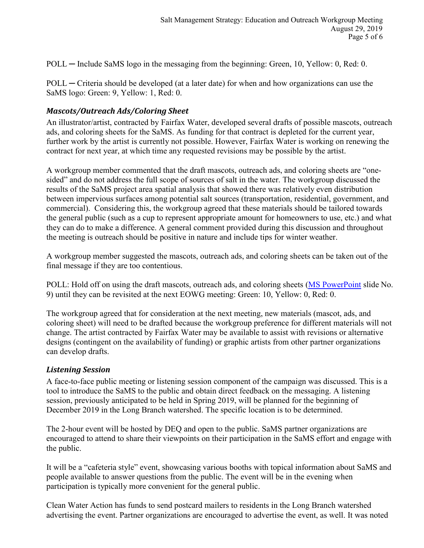POLL — Include SaMS logo in the messaging from the beginning: Green, 10, Yellow: 0, Red: 0.

POLL ─ Criteria should be developed (at a later date) for when and how organizations can use the SaMS logo: Green: 9, Yellow: 1, Red: 0.

#### *Mascots/Outreach Ads/Coloring Sheet*

An illustrator/artist, contracted by Fairfax Water, developed several drafts of possible mascots, outreach ads, and coloring sheets for the SaMS. As funding for that contract is depleted for the current year, further work by the artist is currently not possible. However, Fairfax Water is working on renewing the contract for next year, at which time any requested revisions may be possible by the artist.

A workgroup member commented that the draft mascots, outreach ads, and coloring sheets are "onesided" and do not address the full scope of sources of salt in the water. The workgroup discussed the results of the SaMS project area spatial analysis that showed there was relatively even distribution between impervious surfaces among potential salt sources (transportation, residential, government, and commercial). Considering this, the workgroup agreed that these materials should be tailored towards the general public (such as a cup to represent appropriate amount for homeowners to use, etc.) and what they can do to make a difference. A general comment provided during this discussion and throughout the meeting is outreach should be positive in nature and include tips for winter weather.

A workgroup member suggested the mascots, outreach ads, and coloring sheets can be taken out of the final message if they are too contentious.

POLL: Hold off on using the draft mascots, outreach ads, and coloring sheets [\(MS PowerPoint](https://www.deq.virginia.gov/Portals/0/DEQ/Water/TMDL/SaMS/MeetingMaterials/EandOwg/Meeting3/EOWG_3rdMtg_20190827.pdf) slide No. 9) until they can be revisited at the next EOWG meeting: Green: 10, Yellow: 0, Red: 0.

The workgroup agreed that for consideration at the next meeting, new materials (mascot, ads, and coloring sheet) will need to be drafted because the workgroup preference for different materials will not change. The artist contracted by Fairfax Water may be available to assist with revisions or alternative designs (contingent on the availability of funding) or graphic artists from other partner organizations can develop drafts.

#### *Listening Session*

A face-to-face public meeting or listening session component of the campaign was discussed. This is a tool to introduce the SaMS to the public and obtain direct feedback on the messaging. A listening session, previously anticipated to be held in Spring 2019, will be planned for the beginning of December 2019 in the Long Branch watershed. The specific location is to be determined.

The 2-hour event will be hosted by DEQ and open to the public. SaMS partner organizations are encouraged to attend to share their viewpoints on their participation in the SaMS effort and engage with the public.

It will be a "cafeteria style" event, showcasing various booths with topical information about SaMS and people available to answer questions from the public. The event will be in the evening when participation is typically more convenient for the general public.

Clean Water Action has funds to send postcard mailers to residents in the Long Branch watershed advertising the event. Partner organizations are encouraged to advertise the event, as well. It was noted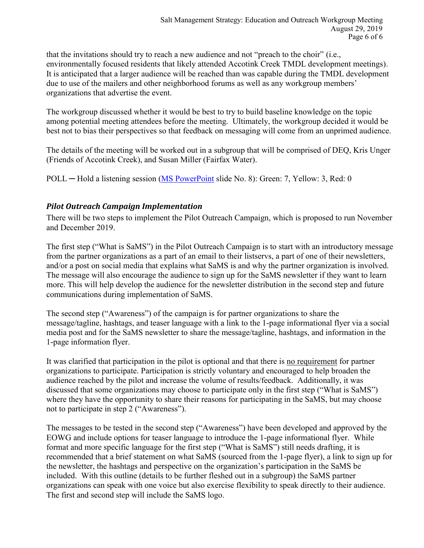that the invitations should try to reach a new audience and not "preach to the choir" (i.e., environmentally focused residents that likely attended Accotink Creek TMDL development meetings). It is anticipated that a larger audience will be reached than was capable during the TMDL development due to use of the mailers and other neighborhood forums as well as any workgroup members' organizations that advertise the event.

The workgroup discussed whether it would be best to try to build baseline knowledge on the topic among potential meeting attendees before the meeting. Ultimately, the workgroup decided it would be best not to bias their perspectives so that feedback on messaging will come from an unprimed audience.

The details of the meeting will be worked out in a subgroup that will be comprised of DEQ, Kris Unger (Friends of Accotink Creek), and Susan Miller (Fairfax Water).

POLL — Hold a listening session [\(MS PowerPoint](https://www.deq.virginia.gov/Portals/0/DEQ/Water/TMDL/SaMS/MeetingMaterials/EandOwg/Meeting3/EOWG_3rdMtg_20190827.pdf) slide No. 8): Green: 7, Yellow: 3, Red: 0

#### *Pilot Outreach Campaign Implementation*

There will be two steps to implement the Pilot Outreach Campaign, which is proposed to run November and December 2019.

The first step ("What is SaMS") in the Pilot Outreach Campaign is to start with an introductory message from the partner organizations as a part of an email to their listservs, a part of one of their newsletters, and/or a post on social media that explains what SaMS is and why the partner organization is involved. The message will also encourage the audience to sign up for the SaMS newsletter if they want to learn more. This will help develop the audience for the newsletter distribution in the second step and future communications during implementation of SaMS.

The second step ("Awareness") of the campaign is for partner organizations to share the message/tagline, hashtags, and teaser language with a link to the 1-page informational flyer via a social media post and for the SaMS newsletter to share the message/tagline, hashtags, and information in the 1-page information flyer.

It was clarified that participation in the pilot is optional and that there is no requirement for partner organizations to participate. Participation is strictly voluntary and encouraged to help broaden the audience reached by the pilot and increase the volume of results/feedback. Additionally, it was discussed that some organizations may choose to participate only in the first step ("What is SaMS") where they have the opportunity to share their reasons for participating in the SaMS, but may choose not to participate in step 2 ("Awareness").

The messages to be tested in the second step ("Awareness") have been developed and approved by the EOWG and include options for teaser language to introduce the 1-page informational flyer. While format and more specific language for the first step ("What is SaMS") still needs drafting, it is recommended that a brief statement on what SaMS (sourced from the 1-page flyer), a link to sign up for the newsletter, the hashtags and perspective on the organization's participation in the SaMS be included. With this outline (details to be further fleshed out in a subgroup) the SaMS partner organizations can speak with one voice but also exercise flexibility to speak directly to their audience. The first and second step will include the SaMS logo.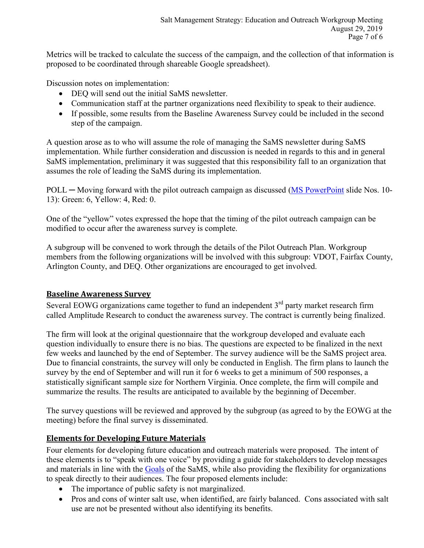Metrics will be tracked to calculate the success of the campaign, and the collection of that information is proposed to be coordinated through shareable Google spreadsheet).

Discussion notes on implementation:

- DEO will send out the initial SaMS newsletter.
- Communication staff at the partner organizations need flexibility to speak to their audience.
- If possible, some results from the Baseline Awareness Survey could be included in the second step of the campaign.

A question arose as to who will assume the role of managing the SaMS newsletter during SaMS implementation. While further consideration and discussion is needed in regards to this and in general SaMS implementation, preliminary it was suggested that this responsibility fall to an organization that assumes the role of leading the SaMS during its implementation.

POLL — Moving forward with the pilot outreach campaign as discussed [\(MS PowerPoint](https://www.deq.virginia.gov/Portals/0/DEQ/Water/TMDL/SaMS/MeetingMaterials/EandOwg/Meeting3/EOWG_3rdMtg_20190827.pdf) slide Nos. 10-13): Green: 6, Yellow: 4, Red: 0.

One of the "yellow" votes expressed the hope that the timing of the pilot outreach campaign can be modified to occur after the awareness survey is complete.

A subgroup will be convened to work through the details of the Pilot Outreach Plan. Workgroup members from the following organizations will be involved with this subgroup: VDOT, Fairfax County, Arlington County, and DEQ. Other organizations are encouraged to get involved.

#### **Baseline Awareness Survey**

Several EOWG organizations came together to fund an independent  $3<sup>rd</sup>$  party market research firm called Amplitude Research to conduct the awareness survey. The contract is currently being finalized.

The firm will look at the original questionnaire that the workgroup developed and evaluate each question individually to ensure there is no bias. The questions are expected to be finalized in the next few weeks and launched by the end of September. The survey audience will be the SaMS project area. Due to financial constraints, the survey will only be conducted in English. The firm plans to launch the survey by the end of September and will run it for 6 weeks to get a minimum of 500 responses, a statistically significant sample size for Northern Virginia. Once complete, the firm will compile and summarize the results. The results are anticipated to available by the beginning of December.

The survey questions will be reviewed and approved by the subgroup (as agreed to by the EOWG at the meeting) before the final survey is disseminated.

#### **Elements for Developing Future Materials**

Four elements for developing future education and outreach materials were proposed. The intent of these elements is to "speak with one voice" by providing a guide for stakeholders to develop messages and materials in line with the [Goals](https://www.deq.virginia.gov/Portals/0/DEQ/Water/TMDL/SaMS/SaMS_IP_Goals_Objectives_Final_20180613.pdf) of the SaMS, while also providing the flexibility for organizations to speak directly to their audiences. The four proposed elements include:

- The importance of public safety is not marginalized.
- Pros and cons of winter salt use, when identified, are fairly balanced. Cons associated with salt use are not be presented without also identifying its benefits.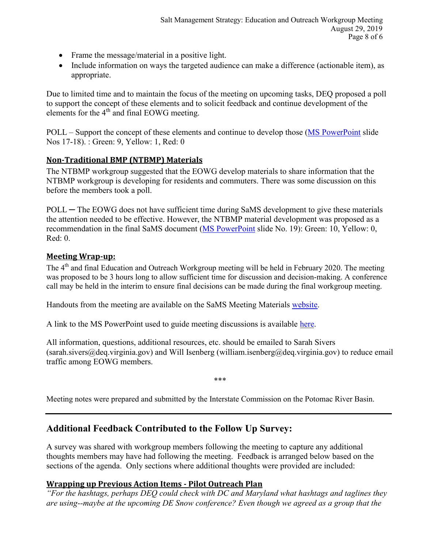- Frame the message/material in a positive light.
- Include information on ways the targeted audience can make a difference (actionable item), as appropriate.

Due to limited time and to maintain the focus of the meeting on upcoming tasks, DEQ proposed a poll to support the concept of these elements and to solicit feedback and continue development of the elements for the  $4<sup>th</sup>$  and final EOWG meeting.

POLL – Support the concept of these elements and continue to develop those [\(MS PowerPoint](https://www.deq.virginia.gov/Portals/0/DEQ/Water/TMDL/SaMS/MeetingMaterials/EandOwg/Meeting3/EOWG_3rdMtg_20190827.pdf) slide Nos 17-18). : Green: 9, Yellow: 1, Red: 0

#### **Non-Traditional BMP (NTBMP) Materials**

The NTBMP workgroup suggested that the EOWG develop materials to share information that the NTBMP workgroup is developing for residents and commuters. There was some discussion on this before the members took a poll.

POLL — The EOWG does not have sufficient time during SaMS development to give these materials the attention needed to be effective. However, the NTBMP material development was proposed as a recommendation in the final SaMS document [\(MS PowerPoint](https://www.deq.virginia.gov/Portals/0/DEQ/Water/TMDL/SaMS/MeetingMaterials/EandOwg/Meeting3/EOWG_3rdMtg_20190827.pdf) slide No. 19): Green: 10, Yellow: 0,  $Red: 0$ 

#### **Meeting Wrap-up:**

The 4<sup>th</sup> and final Education and Outreach Workgroup meeting will be held in February 2020. The meeting was proposed to be 3 hours long to allow sufficient time for discussion and decision-making. A conference call may be held in the interim to ensure final decisions can be made during the final workgroup meeting.

Handouts from the meeting are available on the SaMS Meeting Materials [website.](https://www.deq.virginia.gov/SaMS/MeetingMaterials.aspx)

A link to the MS PowerPoint used to guide meeting discussions is available [here.](https://www.deq.virginia.gov/Portals/0/DEQ/Water/TMDL/SaMS/MeetingMaterials/EandOwg/Meeting3/EOWG_3rdMtg_20190827.pdf)

All information, questions, additional resources, etc. should be emailed to Sarah Sivers (sarah.sivers@deq.virginia.gov) and Will Isenberg (william.isenberg@deq.virginia.gov) to reduce email traffic among EOWG members.

\*\*\*

Meeting notes were prepared and submitted by the Interstate Commission on the Potomac River Basin.

## **Additional Feedback Contributed to the Follow Up Survey:**

A survey was shared with workgroup members following the meeting to capture any additional thoughts members may have had following the meeting. Feedback is arranged below based on the sections of the agenda. Only sections where additional thoughts were provided are included:

#### **Wrapping up Previous Action Items - Pilot Outreach Plan**

*"For the hashtags, perhaps DEQ could check with DC and Maryland what hashtags and taglines they are using--maybe at the upcoming DE Snow conference? Even though we agreed as a group that the*